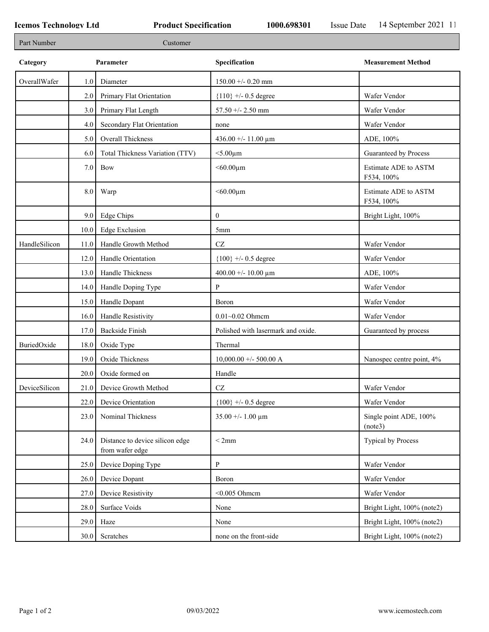| Part Number   |      | Customer                                           |                                    |                                    |
|---------------|------|----------------------------------------------------|------------------------------------|------------------------------------|
| Category      |      | Parameter                                          | Specification                      | <b>Measurement Method</b>          |
| OverallWafer  | 1.0  | Diameter                                           | $150.00 + -0.20$ mm                |                                    |
|               | 2.0  | Primary Flat Orientation                           | ${110}$ +/- 0.5 degree             | Wafer Vendor                       |
|               | 3.0  | Primary Flat Length                                | 57.50 +/- 2.50 mm                  | Wafer Vendor                       |
|               | 4.0  | Secondary Flat Orientation                         | none                               | Wafer Vendor                       |
|               | 5.0  | Overall Thickness                                  | 436.00 +/- 11.00 $\mu$ m           | ADE, 100%                          |
|               | 6.0  | Total Thickness Variation (TTV)                    | $<$ 5.00 $\mu$ m                   | Guaranteed by Process              |
|               | 7.0  | Bow                                                | $<$ 60.00 $\mu$ m                  | Estimate ADE to ASTM<br>F534, 100% |
|               | 8.0  | Warp                                               | $<$ 60.00 $\mu$ m                  | Estimate ADE to ASTM<br>F534, 100% |
|               | 9.0  | Edge Chips                                         | $\mathbf{0}$                       | Bright Light, 100%                 |
|               | 10.0 | <b>Edge Exclusion</b>                              | 5 <sub>mm</sub>                    |                                    |
| HandleSilicon | 11.0 | Handle Growth Method                               | $\operatorname{CZ}$                | Wafer Vendor                       |
|               | 12.0 | Handle Orientation                                 | ${100}$ +/- 0.5 degree             | Wafer Vendor                       |
|               | 13.0 | Handle Thickness                                   | 400.00 +/- 10.00 $\mu$ m           | ADE, 100%                          |
|               | 14.0 | Handle Doping Type                                 | P                                  | Wafer Vendor                       |
|               | 15.0 | Handle Dopant                                      | Boron                              | Wafer Vendor                       |
|               | 16.0 | Handle Resistivity                                 | $0.01 - 0.02$ Ohmem                | Wafer Vendor                       |
|               | 17.0 | <b>Backside Finish</b>                             | Polished with lasermark and oxide. | Guaranteed by process              |
| BuriedOxide   | 18.0 | Oxide Type                                         | Thermal                            |                                    |
|               | 19.0 | Oxide Thickness                                    | $10,000.00 +/- 500.00 A$           | Nanospec centre point, 4%          |
|               | 20.0 | Oxide formed on                                    | Handle                             |                                    |
| DeviceSilicon |      | 21.0 Device Growth Method                          | CZ                                 | Wafer Vendor                       |
|               | 22.0 | Device Orientation                                 | ${100}$ +/- 0.5 degree             | Wafer Vendor                       |
|               | 23.0 | Nominal Thickness                                  | $35.00 + - 1.00 \mu m$             | Single point ADE, 100%<br>(note3)  |
|               | 24.0 | Distance to device silicon edge<br>from wafer edge | < 2mm                              | Typical by Process                 |
|               | 25.0 | Device Doping Type                                 | P                                  | Wafer Vendor                       |
|               | 26.0 | Device Dopant                                      | Boron                              | Wafer Vendor                       |
|               | 27.0 | Device Resistivity                                 | $<$ 0.005 Ohmcm                    | Wafer Vendor                       |
|               | 28.0 | Surface Voids                                      | None                               | Bright Light, 100% (note2)         |
|               | 29.0 | Haze                                               | None                               | Bright Light, 100% (note2)         |
|               | 30.0 | Scratches                                          | none on the front-side             | Bright Light, 100% (note2)         |